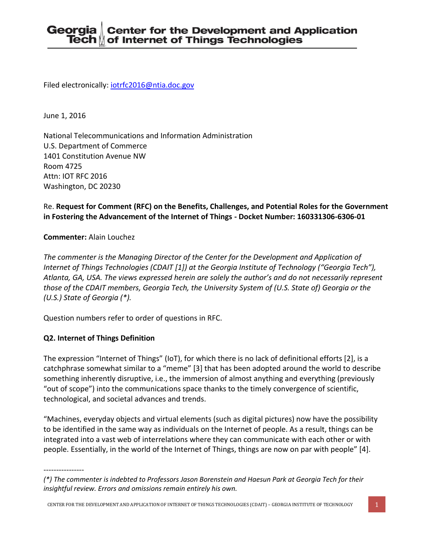Filed electronically: [iotrfc2016@ntia.doc.gov](mailto:iotrfc2016@ntia.doc.gov)

June 1, 2016

National Telecommunications and Information Administration U.S. Department of Commerce 1401 Constitution Avenue NW Room 4725 Attn: IOT RFC 2016 Washington, DC 20230

# Re. **Request for Comment (RFC) on the Benefits, Challenges, and Potential Roles for the Government in Fostering the Advancement of the Internet of Things - Docket Number: 160331306-6306-01**

#### **Commenter:** Alain Louchez

*The commenter is the Managing Director of the Center for the Development and Application of Internet of Things Technologies (CDAIT [1]) at the Georgia Institute of Technology ("Georgia Tech"), Atlanta, GA, USA. The views expressed herein are solely the author's and do not necessarily represent those of the CDAIT members, Georgia Tech, the University System of (U.S. State of) Georgia or the (U.S.) State of Georgia (\*).*

Question numbers refer to order of questions in RFC.

## **Q2. Internet of Things Definition**

The expression "Internet of Things" (IoT), for which there is no lack of definitional efforts [2], is a catchphrase somewhat similar to a "meme" [3] that has been adopted around the world to describe something inherently disruptive, i.e., the immersion of almost anything and everything (previously "out of scope") into the communications space thanks to the timely convergence of scientific, technological, and societal advances and trends.

"Machines, everyday objects and virtual elements (such as digital pictures) now have the possibility to be identified in the same way as individuals on the Internet of people. As a result, things can be integrated into a vast web of interrelations where they can communicate with each other or with people. Essentially, in the world of the Internet of Things, things are now on par with people" [4].

----------------

*<sup>(\*)</sup> The commenter is indebted to Professors Jason Borenstein and Haesun Park at Georgia Tech for their insightful review. Errors and omissions remain entirely his own.*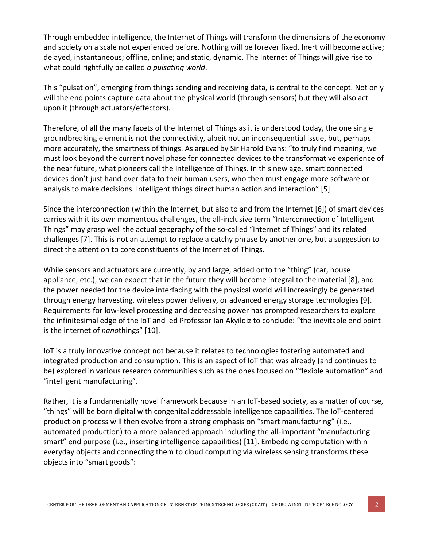Through embedded intelligence, the Internet of Things will transform the dimensions of the economy and society on a scale not experienced before. Nothing will be forever fixed. Inert will become active; delayed, instantaneous; offline, online; and static, dynamic. The Internet of Things will give rise to what could rightfully be called *a pulsating world*.

This "pulsation", emerging from things sending and receiving data, is central to the concept. Not only will the end points capture data about the physical world (through sensors) but they will also act upon it (through actuators/effectors).

Therefore, of all the many facets of the Internet of Things as it is understood today, the one single groundbreaking element is not the connectivity, albeit not an inconsequential issue, but, perhaps more accurately, the smartness of things. As argued by Sir Harold Evans: "to truly find meaning, we must look beyond the current novel phase for connected devices to the transformative experience of the near future, what pioneers call the Intelligence of Things. In this new age, smart connected devices don't just hand over data to their human users, who then must engage more software or analysis to make decisions. Intelligent things direct human action and interaction" [5].

Since the interconnection (within the Internet, but also to and from the Internet [6]) of smart devices carries with it its own momentous challenges, the all-inclusive term "Interconnection of Intelligent Things" may grasp well the actual geography of the so-called "Internet of Things" and its related challenges [7]. This is not an attempt to replace a catchy phrase by another one, but a suggestion to direct the attention to core constituents of the Internet of Things.

While sensors and actuators are currently, by and large, added onto the "thing" (car, house appliance, etc.), we can expect that in the future they will become integral to the material [8], and the power needed for the device interfacing with the physical world will increasingly be generated through energy harvesting, wireless power delivery, or advanced energy storage technologies [9]. Requirements for low-level processing and decreasing power has prompted researchers to explore the infinitesimal edge of the IoT and led Professor Ian Akyildiz to conclude: "the inevitable end point is the internet of *nano*things" [10].

IoT is a truly innovative concept not because it relates to technologies fostering automated and integrated production and consumption. This is an aspect of IoT that was already (and continues to be) explored in various research communities such as the ones focused on "flexible automation" and "intelligent manufacturing".

Rather, it is a fundamentally novel framework because in an IoT-based society, as a matter of course, "things" will be born digital with congenital addressable intelligence capabilities. The IoT-centered production process will then evolve from a strong emphasis on "smart manufacturing" (i.e., automated production) to a more balanced approach including the all-important "manufacturing smart" end purpose (i.e., inserting intelligence capabilities) [11]. Embedding computation within everyday objects and connecting them to cloud computing via wireless sensing transforms these objects into "smart goods":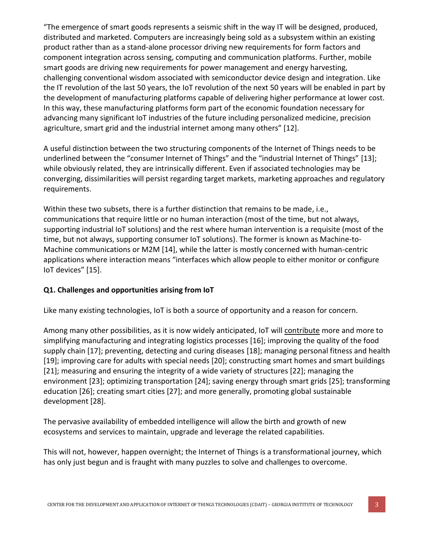"The emergence of smart goods represents a seismic shift in the way IT will be designed, produced, distributed and marketed. Computers are increasingly being sold as a subsystem within an existing product rather than as a stand‐alone processor driving new requirements for form factors and component integration across sensing, computing and communication platforms. Further, mobile smart goods are driving new requirements for power management and energy harvesting, challenging conventional wisdom associated with semiconductor device design and integration. Like the IT revolution of the last 50 years, the IoT revolution of the next 50 years will be enabled in part by the development of manufacturing platforms capable of delivering higher performance at lower cost. In this way, these manufacturing platforms form part of the economic foundation necessary for advancing many significant IoT industries of the future including personalized medicine, precision agriculture, smart grid and the industrial internet among many others" [12].

A useful distinction between the two structuring components of the Internet of Things needs to be underlined between the "consumer Internet of Things" and the "industrial Internet of Things" [13]; while obviously related, they are intrinsically different. Even if associated technologies may be converging, dissimilarities will persist regarding target markets, marketing approaches and regulatory requirements.

Within these two subsets, there is a further distinction that remains to be made, i.e., communications that require little or no human interaction (most of the time, but not always, supporting industrial IoT solutions) and the rest where human intervention is a requisite (most of the time, but not always, supporting consumer IoT solutions). The former is known as Machine-to-Machine communications or M2M [14], while the latter is mostly concerned with human-centric applications where interaction means "interfaces which allow people to either monitor or configure IoT devices" [15].

## **Q1. Challenges and opportunities arising from IoT**

Like many existing technologies, IoT is both a source of opportunity and a reason for concern.

Among many other possibilities, as it is now widely anticipated, IoT will contribute more and more to simplifying manufacturing and integrating logistics processes [16]; improving the quality of the food supply chain [17]; preventing, detecting and curing diseases [18]; managing personal fitness and health [19]; improving care for adults with special needs [20]; constructing smart homes and smart buildings [21]; measuring and ensuring the integrity of a wide variety of structures [22]; managing the environment [23]; optimizing transportation [24]; saving energy through smart grids [25]; transforming education [26]; creating smart cities [27]; and more generally, promoting global sustainable development [28].

The pervasive availability of embedded intelligence will allow the birth and growth of new ecosystems and services to maintain, upgrade and leverage the related capabilities.

This will not, however, happen overnight; the Internet of Things is a transformational journey, which has only just begun and is fraught with many puzzles to solve and challenges to overcome.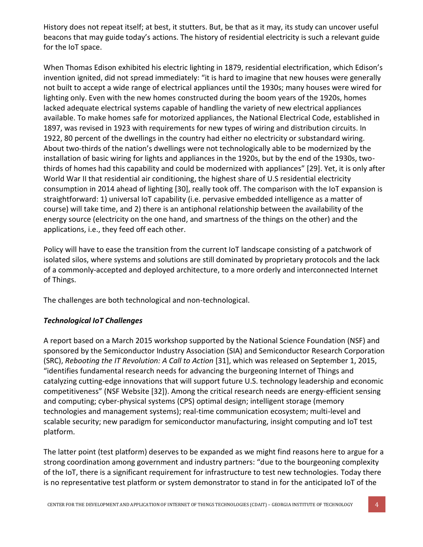History does not repeat itself; at best, it stutters. But, be that as it may, its study can uncover useful beacons that may guide today's actions. The history of residential electricity is such a relevant guide for the IoT space.

When Thomas Edison exhibited his electric lighting in 1879, residential electrification, which Edison's invention ignited, did not spread immediately: "it is hard to imagine that new houses were generally not built to accept a wide range of electrical appliances until the 1930s; many houses were wired for lighting only. Even with the new homes constructed during the boom years of the 1920s, homes lacked adequate electrical systems capable of handling the variety of new electrical appliances available. To make homes safe for motorized appliances, the National Electrical Code, established in 1897, was revised in 1923 with requirements for new types of wiring and distribution circuits. In 1922, 80 percent of the dwellings in the country had either no electricity or substandard wiring. About two-thirds of the nation's dwellings were not technologically able to be modernized by the installation of basic wiring for lights and appliances in the 1920s, but by the end of the 1930s, twothirds of homes had this capability and could be modernized with appliances" [29]. Yet, it is only after World War II that residential air conditioning, the highest share of U.S residential electricity consumption in 2014 ahead of lighting [30], really took off. The comparison with the IoT expansion is straightforward: 1) universal IoT capability (i.e. pervasive embedded intelligence as a matter of course) will take time, and 2) there is an antiphonal relationship between the availability of the energy source (electricity on the one hand, and smartness of the things on the other) and the applications, i.e., they feed off each other.

Policy will have to ease the transition from the current IoT landscape consisting of a patchwork of isolated silos, where systems and solutions are still dominated by proprietary protocols and the lack of a commonly-accepted and deployed architecture, to a more orderly and interconnected Internet of Things.

The challenges are both technological and non-technological.

# *Technological IoT Challenges*

A report based on a March 2015 workshop supported by the National Science Foundation (NSF) and sponsored by the Semiconductor Industry Association (SIA) and Semiconductor Research Corporation (SRC), *Rebooting the IT Revolution: A Call to Action* [31], which was released on September 1, 2015, "identifies fundamental research needs for advancing the burgeoning Internet of Things and catalyzing cutting-edge innovations that will support future U.S. technology leadership and economic competitiveness" (NSF Website [32]). Among the critical research needs are energy-efficient sensing and computing; cyber-physical systems (CPS) optimal design; intelligent storage (memory technologies and management systems); real-time communication ecosystem; multi-level and scalable security; new paradigm for semiconductor manufacturing, insight computing and IoT test platform.

The latter point (test platform) deserves to be expanded as we might find reasons here to argue for a strong coordination among government and industry partners: "due to the bourgeoning complexity of the IoT, there is a significant requirement for infrastructure to test new technologies. Today there is no representative test platform or system demonstrator to stand in for the anticipated IoT of the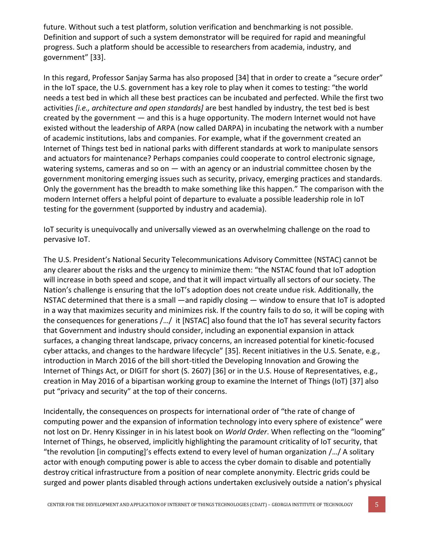future. Without such a test platform, solution verification and benchmarking is not possible. Definition and support of such a system demonstrator will be required for rapid and meaningful progress. Such a platform should be accessible to researchers from academia, industry, and government" [33].

In this regard, Professor Sanjay Sarma has also proposed [34] that in order to create a "secure order" in the IoT space, the U.S. government has a key role to play when it comes to testing: "the world needs a test bed in which all these best practices can be incubated and perfected. While the first two activities *[i.e., architecture and open standards]* are best handled by industry, the test bed is best created by the government — and this is a huge opportunity. The modern Internet would not have existed without the leadership of ARPA (now called DARPA) in incubating the network with a number of academic institutions, labs and companies. For example, what if the government created an Internet of Things test bed in national parks with different standards at work to manipulate sensors and actuators for maintenance? Perhaps companies could cooperate to control electronic signage, watering systems, cameras and so on  $-$  with an agency or an industrial committee chosen by the government monitoring emerging issues such as security, privacy, emerging practices and standards. Only the government has the breadth to make something like this happen." The comparison with the modern Internet offers a helpful point of departure to evaluate a possible leadership role in IoT testing for the government (supported by industry and academia).

IoT security is unequivocally and universally viewed as an overwhelming challenge on the road to pervasive IoT.

The U.S. President's National Security Telecommunications Advisory Committee (NSTAC) cannot be any clearer about the risks and the urgency to minimize them: "the NSTAC found that IoT adoption will increase in both speed and scope, and that it will impact virtually all sectors of our society. The Nation's challenge is ensuring that the IoT's adoption does not create undue risk. Additionally, the NSTAC determined that there is a small —and rapidly closing — window to ensure that IoT is adopted in a way that maximizes security and minimizes risk. If the country fails to do so, it will be coping with the consequences for generations /…/ it [NSTAC] also found that the IoT has several security factors that Government and industry should consider, including an exponential expansion in attack surfaces, a changing threat landscape, privacy concerns, an increased potential for kinetic-focused cyber attacks, and changes to the hardware lifecycle" [35]. Recent initiatives in the U.S. Senate, e.g., introduction in March 2016 of the bill short-titled the Developing Innovation and Growing the Internet of Things Act, or DIGIT for short (S. 2607) [36] or in the U.S. House of Representatives, e.g., creation in May 2016 of a bipartisan working group to examine the Internet of Things (IoT) [37] also put "privacy and security" at the top of their concerns.

Incidentally, the consequences on prospects for international order of "the rate of change of computing power and the expansion of information technology into every sphere of existence" were not lost on Dr. Henry Kissinger in in his latest book on *World Order*. When reflecting on the "looming" Internet of Things, he observed, implicitly highlighting the paramount criticality of IoT security, that "the revolution [in computing]'s effects extend to every level of human organization /…/ A solitary actor with enough computing power is able to access the cyber domain to disable and potentially destroy critical infrastructure from a position of near complete anonymity. Electric grids could be surged and power plants disabled through actions undertaken exclusively outside a nation's physical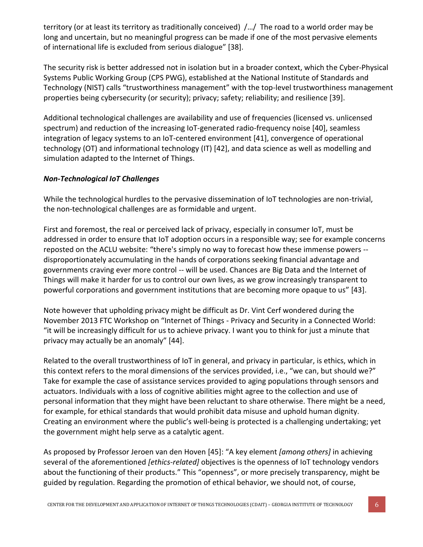territory (or at least its territory as traditionally conceived) /…/ The road to a world order may be long and uncertain, but no meaningful progress can be made if one of the most pervasive elements of international life is excluded from serious dialogue" [38].

The security risk is better addressed not in isolation but in a broader context, which the Cyber-Physical Systems Public Working Group (CPS PWG), established at the National Institute of Standards and Technology (NIST) calls "trustworthiness management" with the top-level trustworthiness management properties being cybersecurity (or security); privacy; safety; reliability; and resilience [39].

Additional technological challenges are availability and use of frequencies (licensed vs. unlicensed spectrum) and reduction of the increasing IoT-generated radio-frequency noise [40], seamless integration of legacy systems to an IoT-centered environment [41], convergence of operational technology (OT) and informational technology (IT) [42], and data science as well as modelling and simulation adapted to the Internet of Things.

# *Non-Technological IoT Challenges*

While the technological hurdles to the pervasive dissemination of IoT technologies are non-trivial, the non-technological challenges are as formidable and urgent.

First and foremost, the real or perceived lack of privacy, especially in consumer IoT, must be addressed in order to ensure that IoT adoption occurs in a responsible way; see for example concerns reposted on the ACLU website: "there's simply no way to forecast how these immense powers - disproportionately accumulating in the hands of corporations seeking financial advantage and governments craving ever more control -- will be used. Chances are Big Data and the Internet of Things will make it harder for us to control our own lives, as we grow increasingly transparent to powerful corporations and government institutions that are becoming more opaque to us" [43].

Note however that upholding privacy might be difficult as Dr. Vint Cerf wondered during the November 2013 FTC Workshop on "Internet of Things - Privacy and Security in a Connected World: "it will be increasingly difficult for us to achieve privacy. I want you to think for just a minute that privacy may actually be an anomaly" [44].

Related to the overall trustworthiness of IoT in general, and privacy in particular, is ethics, which in this context refers to the moral dimensions of the services provided, i.e., "we can, but should we?" Take for example the case of assistance services provided to aging populations through sensors and actuators. Individuals with a loss of cognitive abilities might agree to the collection and use of personal information that they might have been reluctant to share otherwise. There might be a need, for example, for ethical standards that would prohibit data misuse and uphold human dignity. Creating an environment where the public's well-being is protected is a challenging undertaking; yet the government might help serve as a catalytic agent.

As proposed by Professor Jeroen van den Hoven [45]: "A key element *[among others]* in achieving several of the aforementioned *[ethics-related]* objectives is the openness of IoT technology vendors about the functioning of their products." This "openness", or more precisely transparency, might be guided by regulation. Regarding the promotion of ethical behavior, we should not, of course,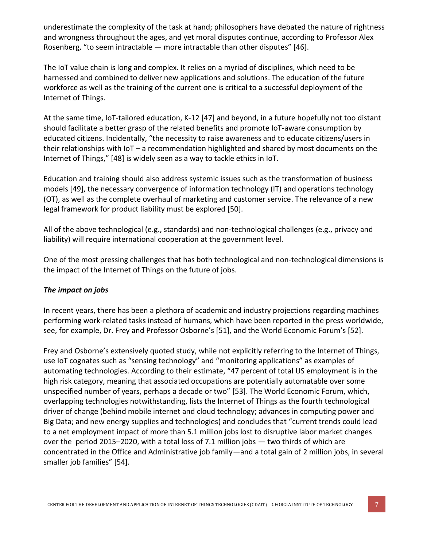underestimate the complexity of the task at hand; philosophers have debated the nature of rightness and wrongness throughout the ages, and yet moral disputes continue, according to Professor Alex Rosenberg, "to seem intractable — more intractable than other disputes" [46].

The IoT value chain is long and complex. It relies on a myriad of disciplines, which need to be harnessed and combined to deliver new applications and solutions. The education of the future workforce as well as the training of the current one is critical to a successful deployment of the Internet of Things.

At the same time, IoT-tailored education, K-12 [47] and beyond, in a future hopefully not too distant should facilitate a better grasp of the related benefits and promote IoT-aware consumption by educated citizens. Incidentally, "the necessity to raise awareness and to educate citizens/users in their relationships with IoT – a recommendation highlighted and shared by most documents on the Internet of Things," [48] is widely seen as a way to tackle ethics in IoT.

Education and training should also address systemic issues such as the transformation of business models [49], the necessary convergence of information technology (IT) and operations technology (OT), as well as the complete overhaul of marketing and customer service. The relevance of a new legal framework for product liability must be explored [50].

All of the above technological (e.g., standards) and non-technological challenges (e.g., privacy and liability) will require international cooperation at the government level.

One of the most pressing challenges that has both technological and non-technological dimensions is the impact of the Internet of Things on the future of jobs.

## *The impact on jobs*

In recent years, there has been a plethora of academic and industry projections regarding machines performing work-related tasks instead of humans, which have been reported in the press worldwide, see, for example, Dr. Frey and Professor Osborne's [51], and the World Economic Forum's [52].

Frey and Osborne's extensively quoted study, while not explicitly referring to the Internet of Things, use IoT cognates such as "sensing technology" and "monitoring applications" as examples of automating technologies. According to their estimate, "47 percent of total US employment is in the high risk category, meaning that associated occupations are potentially automatable over some unspecified number of years, perhaps a decade or two" [53]. The World Economic Forum, which, overlapping technologies notwithstanding, lists the Internet of Things as the fourth technological driver of change (behind mobile internet and cloud technology; advances in computing power and Big Data; and new energy supplies and technologies) and concludes that "current trends could lead to a net employment impact of more than 5.1 million jobs lost to disruptive labor market changes over the period 2015–2020, with a total loss of 7.1 million jobs — two thirds of which are concentrated in the Office and Administrative job family—and a total gain of 2 million jobs, in several smaller job families" [54].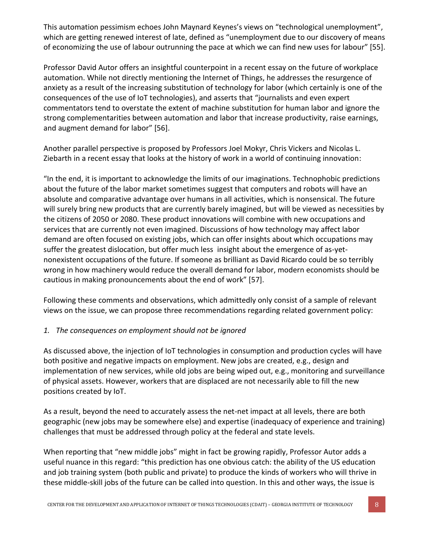This automation pessimism echoes John Maynard Keynes's views on "technological unemployment", which are getting renewed interest of late, defined as "unemployment due to our discovery of means of economizing the use of labour outrunning the pace at which we can find new uses for labour" [55].

Professor David Autor offers an insightful counterpoint in a recent essay on the future of workplace automation. While not directly mentioning the Internet of Things, he addresses the resurgence of anxiety as a result of the increasing substitution of technology for labor (which certainly is one of the consequences of the use of IoT technologies), and asserts that "journalists and even expert commentators tend to overstate the extent of machine substitution for human labor and ignore the strong complementarities between automation and labor that increase productivity, raise earnings, and augment demand for labor" [56].

Another parallel perspective is proposed by Professors Joel Mokyr, Chris Vickers and Nicolas L. Ziebarth in a recent essay that looks at the history of work in a world of continuing innovation:

"In the end, it is important to acknowledge the limits of our imaginations. Technophobic predictions about the future of the labor market sometimes suggest that computers and robots will have an absolute and comparative advantage over humans in all activities, which is nonsensical. The future will surely bring new products that are currently barely imagined, but will be viewed as necessities by the citizens of 2050 or 2080. These product innovations will combine with new occupations and services that are currently not even imagined. Discussions of how technology may affect labor demand are often focused on existing jobs, which can offer insights about which occupations may suffer the greatest dislocation, but offer much less insight about the emergence of as-yetnonexistent occupations of the future. If someone as brilliant as David Ricardo could be so terribly wrong in how machinery would reduce the overall demand for labor, modern economists should be cautious in making pronouncements about the end of work" [57].

Following these comments and observations, which admittedly only consist of a sample of relevant views on the issue, we can propose three recommendations regarding related government policy:

## *1. The consequences on employment should not be ignored*

As discussed above, the injection of IoT technologies in consumption and production cycles will have both positive and negative impacts on employment. New jobs are created, e.g., design and implementation of new services, while old jobs are being wiped out, e.g., monitoring and surveillance of physical assets. However, workers that are displaced are not necessarily able to fill the new positions created by IoT.

As a result, beyond the need to accurately assess the net-net impact at all levels, there are both geographic (new jobs may be somewhere else) and expertise (inadequacy of experience and training) challenges that must be addressed through policy at the federal and state levels.

When reporting that "new middle jobs" might in fact be growing rapidly, Professor Autor adds a useful nuance in this regard: "this prediction has one obvious catch: the ability of the US education and job training system (both public and private) to produce the kinds of workers who will thrive in these middle-skill jobs of the future can be called into question. In this and other ways, the issue is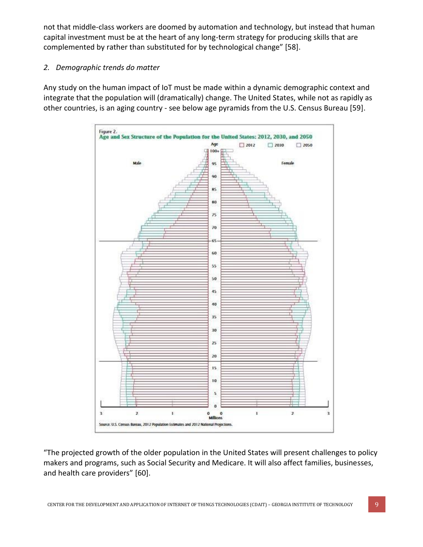not that middle-class workers are doomed by automation and technology, but instead that human capital investment must be at the heart of any long-term strategy for producing skills that are complemented by rather than substituted for by technological change" [58].

# *2. Demographic trends do matter*

Any study on the human impact of IoT must be made within a dynamic demographic context and integrate that the population will (dramatically) change. The United States, while not as rapidly as other countries, is an aging country - see below age pyramids from the U.S. Census Bureau [59].



"The projected growth of the older population in the United States will present challenges to policy makers and programs, such as Social Security and Medicare. It will also affect families, businesses, and health care providers" [60].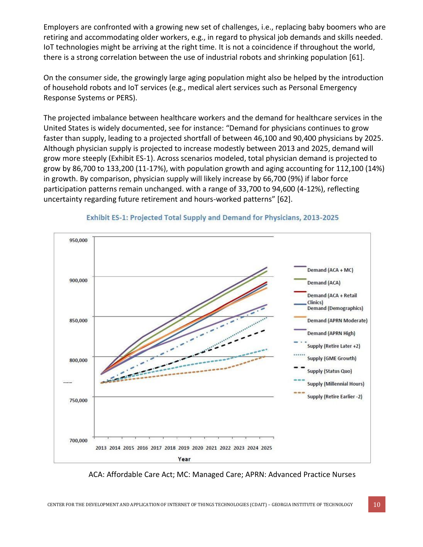Employers are confronted with a growing new set of challenges, i.e., replacing baby boomers who are retiring and accommodating older workers, e.g., in regard to physical job demands and skills needed. IoT technologies might be arriving at the right time. It is not a coincidence if throughout the world, there is a strong correlation between the use of industrial robots and shrinking population [61].

On the consumer side, the growingly large aging population might also be helped by the introduction of household robots and IoT services (e.g., medical alert services such as Personal Emergency Response Systems or PERS).

The projected imbalance between healthcare workers and the demand for healthcare services in the United States is widely documented, see for instance: "Demand for physicians continues to grow faster than supply, leading to a projected shortfall of between 46,100 and 90,400 physicians by 2025. Although physician supply is projected to increase modestly between 2013 and 2025, demand will grow more steeply (Exhibit ES-1). Across scenarios modeled, total physician demand is projected to grow by 86,700 to 133,200 (11-17%), with population growth and aging accounting for 112,100 (14%) in growth. By comparison, physician supply will likely increase by 66,700 (9%) if labor force participation patterns remain unchanged. with a range of 33,700 to 94,600 (4-12%), reflecting uncertainty regarding future retirement and hours-worked patterns" [62].



#### Exhibit ES-1: Projected Total Supply and Demand for Physicians, 2013-2025

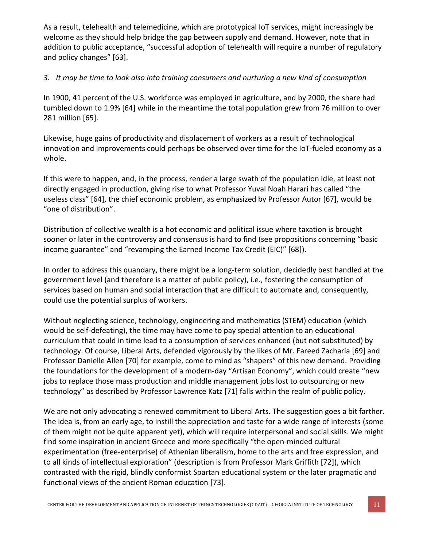As a result, telehealth and telemedicine, which are prototypical IoT services, might increasingly be welcome as they should help bridge the gap between supply and demand. However, note that in addition to public acceptance, "successful adoption of telehealth will require a number of regulatory and policy changes" [63].

# *3. It may be time to look also into training consumers and nurturing a new kind of consumption*

In 1900, 41 percent of the U.S. workforce was employed in agriculture, and by 2000, the share had tumbled down to 1.9% [64] while in the meantime the total population grew from 76 million to over 281 million [65].

Likewise, huge gains of productivity and displacement of workers as a result of technological innovation and improvements could perhaps be observed over time for the IoT-fueled economy as a whole.

If this were to happen, and, in the process, render a large swath of the population idle, at least not directly engaged in production, giving rise to what Professor Yuval Noah Harari has called "the useless class" [64], the chief economic problem, as emphasized by Professor Autor [67], would be "one of distribution".

Distribution of collective wealth is a hot economic and political issue where taxation is brought sooner or later in the controversy and consensus is hard to find (see propositions concerning "basic income guarantee" and "revamping the Earned Income Tax Credit (EIC)" [68]).

In order to address this quandary, there might be a long-term solution, decidedly best handled at the government level (and therefore is a matter of public policy), i.e., fostering the consumption of services based on human and social interaction that are difficult to automate and, consequently, could use the potential surplus of workers.

Without neglecting science, technology, engineering and mathematics (STEM) education (which would be self-defeating), the time may have come to pay special attention to an educational curriculum that could in time lead to a consumption of services enhanced (but not substituted) by technology. Of course, Liberal Arts, defended vigorously by the likes of Mr. Fareed Zacharia [69] and Professor Danielle Allen [70] for example, come to mind as "shapers" of this new demand. Providing the foundations for the development of a modern-day "Artisan Economy", which could create "new jobs to replace those mass production and middle management jobs lost to outsourcing or new technology" as described by Professor Lawrence Katz [71] falls within the realm of public policy.

We are not only advocating a renewed commitment to Liberal Arts. The suggestion goes a bit farther. The idea is, from an early age, to instill the appreciation and taste for a wide range of interests (some of them might not be quite apparent yet), which will require interpersonal and social skills. We might find some inspiration in ancient Greece and more specifically "the open-minded cultural experimentation (free-enterprise) of Athenian liberalism, home to the arts and free expression, and to all kinds of intellectual exploration" (description is from Professor Mark Griffith [72]), which contrasted with the rigid, blindly conformist Spartan educational system or the later pragmatic and functional views of the ancient Roman education [73].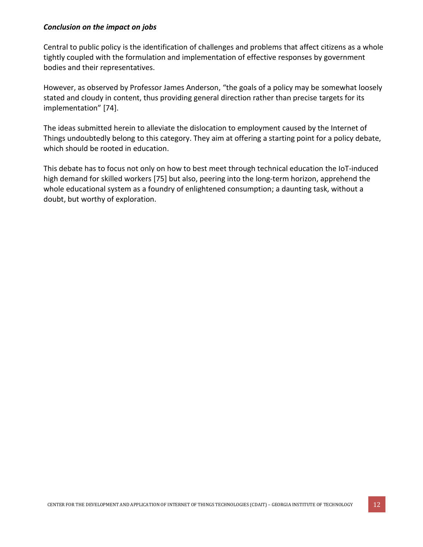#### *Conclusion on the impact on jobs*

Central to public policy is the identification of challenges and problems that affect citizens as a whole tightly coupled with the formulation and implementation of effective responses by government bodies and their representatives.

However, as observed by Professor James Anderson, "the goals of a policy may be somewhat loosely stated and cloudy in content, thus providing general direction rather than precise targets for its implementation" [74].

The ideas submitted herein to alleviate the dislocation to employment caused by the Internet of Things undoubtedly belong to this category. They aim at offering a starting point for a policy debate, which should be rooted in education.

This debate has to focus not only on how to best meet through technical education the IoT-induced high demand for skilled workers [75] but also, peering into the long-term horizon, apprehend the whole educational system as a foundry of enlightened consumption; a daunting task, without a doubt, but worthy of exploration.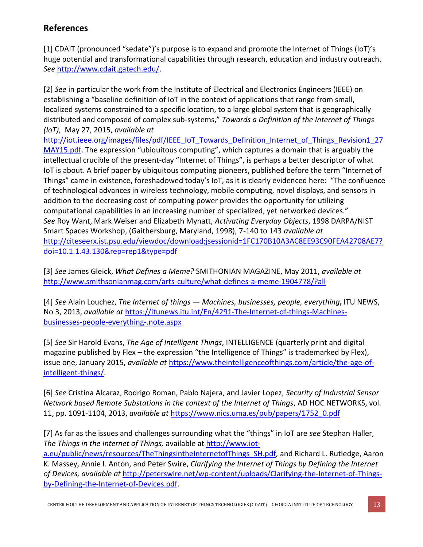# **References**

[1] CDAIT (pronounced "sedate")'s purpose is to expand and promote the Internet of Things (IoT)'s huge potential and transformational capabilities through research, education and industry outreach. *See* [http://www.cdait.gatech.edu/.](http://www.cdait.gatech.edu/)

[2] *See* in particular the work from the Institute of Electrical and Electronics Engineers (IEEE) on establishing a "baseline definition of IoT in the context of applications that range from small, localized systems constrained to a specific location, to a large global system that is geographically distributed and composed of complex sub-systems," *Towards a Definition of the Internet of Things (IoT)*, May 27, 2015, *available at*  [http://iot.ieee.org/images/files/pdf/IEEE\\_IoT\\_Towards\\_Definition\\_Internet\\_of\\_Things\\_Revision1\\_27](http://iot.ieee.org/images/files/pdf/IEEE_IoT_Towards_Definition_Internet_of_Things_Revision1_27MAY15.pdf) [MAY15.pdf.](http://iot.ieee.org/images/files/pdf/IEEE_IoT_Towards_Definition_Internet_of_Things_Revision1_27MAY15.pdf) The expression "ubiquitous computing", which captures a domain that is arguably the intellectual crucible of the present-day "Internet of Things", is perhaps a better descriptor of what IoT is about. A brief paper by ubiquitous computing pioneers, published before the term "Internet of Things" came in existence, foreshadowed today's IoT, as it is clearly evidenced here: "The confluence of technological advances in wireless technology, mobile computing, novel displays, and sensors in

addition to the decreasing cost of computing power provides the opportunity for utilizing computational capabilities in an increasing number of specialized, yet networked devices." *See* Roy Want, Mark Weiser and Elizabeth Mynatt, *Activating Everyday Objects*, 1998 DARPA/NIST Smart Spaces Workshop, (Gaithersburg, Maryland, 1998), 7-140 to 143 *available at* [http://citeseerx.ist.psu.edu/viewdoc/download;jsessionid=1FC170B10A3AC8EE93C90FEA42708AE7?](http://citeseerx.ist.psu.edu/viewdoc/download;jsessionid=1FC170B10A3AC8EE93C90FEA42708AE7?doi=10.1.1.43.130&rep=rep1&type=pdf) [doi=10.1.1.43.130&rep=rep1&type=pdf](http://citeseerx.ist.psu.edu/viewdoc/download;jsessionid=1FC170B10A3AC8EE93C90FEA42708AE7?doi=10.1.1.43.130&rep=rep1&type=pdf)

[3] *See* James Gleick, *What Defines a Meme?* SMITHONIAN MAGAZINE, May 2011, *available at* <http://www.smithsonianmag.com/arts-culture/what-defines-a-meme-1904778/?all>

[4] *See* Alain Louchez, *The Internet of things — Machines, businesses, people, everything***,** ITU NEWS, No 3, 2013, *available at* [https://itunews.itu.int/En/4291-The-Internet-of-things-Machines](https://itunews.itu.int/En/4291-The-Internet-of-things-Machines-businesses-people-everything-.note.aspx)[businesses-people-everything-.note.aspx](https://itunews.itu.int/En/4291-The-Internet-of-things-Machines-businesses-people-everything-.note.aspx)

[5] *See* Sir Harold Evans, *The Age of Intelligent Things*, INTELLIGENCE (quarterly print and digital magazine published by Flex – the expression "the Intelligence of Things" is trademarked by Flex), issue one, January 2015, *available at* [https://www.theintelligenceofthings.com/article/the-age-of](https://www.theintelligenceofthings.com/article/the-age-of-intelligent-things/)[intelligent-things/.](https://www.theintelligenceofthings.com/article/the-age-of-intelligent-things/)

[6] *See* Cristina Alcaraz, Rodrigo Roman, Pablo Najera, and Javier Lopez, *Security of Industrial Sensor Network based Remote Substations in the context of the Internet of Things*, AD HOC NETWORKS, vol. 11, pp. 1091-1104, 2013, *available at* [https://www.nics.uma.es/pub/papers/1752\\_0.pdf](https://www.nics.uma.es/pub/papers/1752_0.pdf)

[7] As far as the issues and challenges surrounding what the "things" in IoT are *see* Stephan Haller, *The Things in the Internet of Things,* available at [http://www.iot](http://www.iot-a.eu/public/news/resources/TheThingsintheInternetofThings_SH.pdf)[a.eu/public/news/resources/TheThingsintheInternetofThings\\_SH.pdf](http://www.iot-a.eu/public/news/resources/TheThingsintheInternetofThings_SH.pdf), and Richard L. Rutledge, Aaron K. Massey, Annie I. Antón, and Peter Swire, *Clarifying the Internet of Things by Defining the Internet of Devices, available at* [http://peterswire.net/wp-content/uploads/Clarifying-the-Internet-of-Things](http://peterswire.net/wp-content/uploads/Clarifying-the-Internet-of-Things-by-Defining-the-Internet-of-Devices.pdf)[by-Defining-the-Internet-of-Devices.pdf.](http://peterswire.net/wp-content/uploads/Clarifying-the-Internet-of-Things-by-Defining-the-Internet-of-Devices.pdf)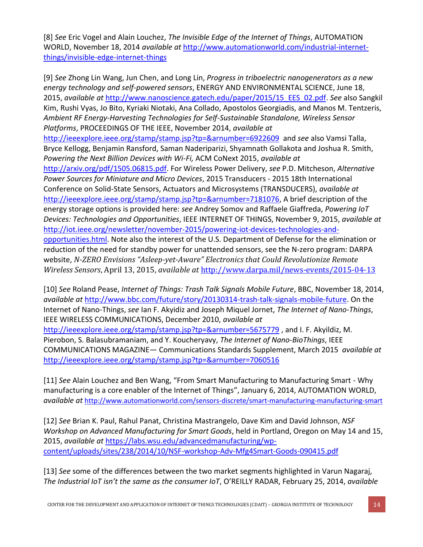[8] *See* Eric Vogel and Alain Louchez, *The Invisible Edge of the Internet of Things*, AUTOMATION WORLD, November 18, 2014 *available at* [http://www.automationworld.com/industrial-internet](http://www.automationworld.com/industrial-internet-things/invisible-edge-internet-things)[things/invisible-edge-internet-things](http://www.automationworld.com/industrial-internet-things/invisible-edge-internet-things)

[9] *See* Zhong Lin Wang, Jun Chen, and Long Lin, *Progress in triboelectric nanogenerators as a new energy technology and self-powered sensors*, ENERGY AND ENVIRONMENTAL SCIENCE, June 18, 2015, *available at* [http://www.nanoscience.gatech.edu/paper/2015/15\\_EES\\_02.pdf.](http://www.nanoscience.gatech.edu/paper/2015/15_EES_02.pdf) *See* also Sangkil Kim, Rushi Vyas, Jo Bito, Kyriaki Niotaki, Ana Collado, Apostolos Georgiadis, and Manos M. Tentzeris, *Ambient RF Energy-Harvesting Technologies for Self-Sustainable Standalone, Wireless Sensor Platforms*, PROCEEDINGS OF THE IEEE, November 2014, *available at* <http://ieeexplore.ieee.org/stamp/stamp.jsp?tp=&arnumber=6922609>and *see* also Vamsi Talla, Bryce Kellogg, Benjamin Ransford, Saman Naderiparizi, Shyamnath Gollakota and Joshua R. Smith, *Powering the Next Billion Devices with Wi-Fi,* ACM CoNext 2015, *available at*  [http://arxiv.org/pdf/1505.06815.pdf.](http://arxiv.org/pdf/1505.06815.pdf) For Wireless Power Delivery, *see* P.D. Mitcheson, *Alternative Power Sources for Miniature and Micro Devices*, 2015 Transducers - 2015 18th International Conference on Solid-State Sensors, Actuators and Microsystems (TRANSDUCERS), *available at* [http://ieeexplore.ieee.org/stamp/stamp.jsp?tp=&arnumber=7181076,](http://ieeexplore.ieee.org/stamp/stamp.jsp?tp=&arnumber=7181076) A brief description of the energy storage options is provided here: *see* Andrey Somov and Raffaele Giaffreda, *Powering IoT Devices: Technologies and Opportunities*, IEEE INTERNET OF THINGS, November 9, 2015, *available at* [http://iot.ieee.org/newsletter/november-2015/powering-iot-devices-technologies-and](http://iot.ieee.org/newsletter/november-2015/powering-iot-devices-technologies-and-opportunities.html)[opportunities.html.](http://iot.ieee.org/newsletter/november-2015/powering-iot-devices-technologies-and-opportunities.html) Note also the interest of the U.S. Department of Defense for the elimination or reduction of the need for standby power for unattended sensors, see the N-zero program: DARPA website, *N-ZERO Envisions "Asleep-yet-Aware" Electronics that Could Revolutionize Remote Wireless Sensors*, April 13, 2015, *available at* <http://www.darpa.mil/news-events/2015-04-13>

[10] *See* Roland Pease, *Internet of Things: Trash Talk Signals Mobile Future*, BBC, November 18, 2014, *available at* [http://www.bbc.com/future/story/20130314-trash-talk-signals-mobile-future.](http://www.bbc.com/future/story/20130314-trash-talk-signals-mobile-future) On the Internet of Nano-Things, *see* Ian F. Akyidiz and Joseph Miquel Jornet, *The Internet of Nano-Things*, IEEE WIRELESS COMMUNICATIONS, December 2010, *available at* <http://ieeexplore.ieee.org/stamp/stamp.jsp?tp=&arnumber=5675779>, and I. F. Akyildiz, M. Pierobon, S. Balasubramaniam, and Y. Koucheryavy, *The Internet of Nano-BioThings*, IEEE COMMUNICATIONS MAGAZINE— Communications Standards Supplement, March 2015 *available at* <http://ieeexplore.ieee.org/stamp/stamp.jsp?tp=&arnumber=7060516>

[11] *See* Alain Louchez and Ben Wang, "From Smart Manufacturing to Manufacturing Smart - Why manufacturing is a core enabler of the Internet of Things", January 6, 2014, AUTOMATION WORLD, *available at* <http://www.automationworld.com/sensors-discrete/smart-manufacturing-manufacturing-smart>

[12] *See* Brian K. Paul, Rahul Panat, Christina Mastrangelo, Dave Kim and David Johnson, *NSF Workshop on Advanced Manufacturing for Smart Goods*, held in Portland, Oregon on May 14 and 15, 2015, *available at* [https://labs.wsu.edu/advancedmanufacturing/wp](https://labs.wsu.edu/advancedmanufacturing/wp-content/uploads/sites/238/2014/10/NSF-workshop-Adv-Mfg4Smart-Goods-090415.pdf)[content/uploads/sites/238/2014/10/NSF-workshop-Adv-Mfg4Smart-Goods-090415.pdf](https://labs.wsu.edu/advancedmanufacturing/wp-content/uploads/sites/238/2014/10/NSF-workshop-Adv-Mfg4Smart-Goods-090415.pdf)

[13] *See* some of the differences between the two market segments highlighted in Varun Nagaraj, *The Industrial IoT isn't the same as the consumer IoT*, O'REILLY RADAR, February 25, 2014, *available*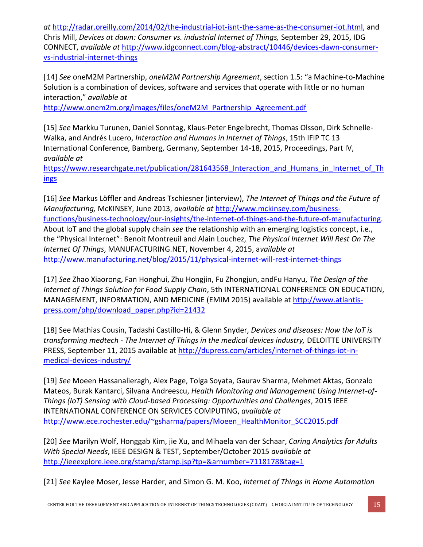*at* [http://radar.oreilly.com/2014/02/the-industrial-iot-isnt-the-same-as-the-consumer-iot.html,](http://radar.oreilly.com/2014/02/the-industrial-iot-isnt-the-same-as-the-consumer-iot.html) and Chris Mill, *Devices at dawn: Consumer vs. industrial Internet of Things,* September 29, 2015, IDG CONNECT, *available at* [http://www.idgconnect.com/blog-abstract/10446/devices-dawn-consumer](http://www.idgconnect.com/blog-abstract/10446/devices-dawn-consumer-vs-industrial-internet-things)[vs-industrial-internet-things](http://www.idgconnect.com/blog-abstract/10446/devices-dawn-consumer-vs-industrial-internet-things)

[14] *See* oneM2M Partnership, *oneM2M Partnership Agreement*, section 1.5: "a Machine-to-Machine Solution is a combination of devices, software and services that operate with little or no human interaction," *available at* 

[http://www.onem2m.org/images/files/oneM2M\\_Partnership\\_Agreement.pdf](http://www.onem2m.org/images/files/oneM2M_Partnership_Agreement.pdf)

[15] *See* Markku Turunen, Daniel Sonntag, Klaus-Peter Engelbrecht, Thomas Olsson, Dirk Schnelle-Walka, and Andrés Lucero, *Interaction and Humans in Internet of Things*, 15th IFIP TC 13 International Conference, Bamberg, Germany, September 14-18, 2015, Proceedings, Part IV, *available at* 

https://www.researchgate.net/publication/281643568 Interaction and Humans in Internet of Th [ings](https://www.researchgate.net/publication/281643568_Interaction_and_Humans_in_Internet_of_Things)

[16] *See* Markus Löffler and Andreas Tschiesner (interview), *The Internet of Things and the Future of Manufacturing,* McKINSEY, June 2013, *available at* [http://www.mckinsey.com/business](http://www.mckinsey.com/business-functions/business-technology/our-insights/the-internet-of-things-and-the-future-of-manufacturing)[functions/business-technology/our-insights/the-internet-of-things-and-the-future-of-manufacturing.](http://www.mckinsey.com/business-functions/business-technology/our-insights/the-internet-of-things-and-the-future-of-manufacturing) About IoT and the global supply chain *see* the relationship with an emerging logistics concept, i.e., the "Physical Internet": Benoit Montreuil and Alain Louchez, *The Physical Internet Will Rest On The Internet Of Things*, MANUFACTURING.NET, November 4, 2015, a*vailable at* <http://www.manufacturing.net/blog/2015/11/physical-internet-will-rest-internet-things>

[17] *See* Zhao Xiaorong, Fan Honghui, Zhu Hongjin, Fu Zhongjun, andFu Hanyu, *The Design of the Internet of Things Solution for Food Supply Chain*, 5th INTERNATIONAL CONFERENCE ON EDUCATION, MANAGEMENT, INFORMATION, AND MEDICINE (EMIM 2015) available at [http://www.atlantis](http://www.atlantis-press.com/php/download_paper.php?id=21432)[press.com/php/download\\_paper.php?id=21432](http://www.atlantis-press.com/php/download_paper.php?id=21432)

[18] See Mathias Cousin, Tadashi Castillo-Hi, & Glenn Snyder, *Devices and diseases: How the IoT is transforming medtech - The Internet of Things in the medical devices industry,* DELOITTE UNIVERSITY PRESS, September 11, 2015 available at [http://dupress.com/articles/internet-of-things-iot-in](http://dupress.com/articles/internet-of-things-iot-in-medical-devices-industry/)[medical-devices-industry/](http://dupress.com/articles/internet-of-things-iot-in-medical-devices-industry/)

[19] *See* Moeen Hassanalieragh, Alex Page, Tolga Soyata, Gaurav Sharma, Mehmet Aktas, Gonzalo Mateos, Burak Kantarci, Silvana Andreescu, *Health Monitoring and Management Using Internet-of-Things (IoT) Sensing with Cloud-based Processing: Opportunities and Challenges*, 2015 IEEE INTERNATIONAL CONFERENCE ON SERVICES COMPUTING, *available at* [http://www.ece.rochester.edu/~gsharma/papers/Moeen\\_HealthMonitor\\_SCC2015.pdf](http://www.ece.rochester.edu/~gsharma/papers/Moeen_HealthMonitor_SCC2015.pdf)

[20] *See* Marilyn Wolf, Honggab Kim, jie Xu, and Mihaela van der Schaar, *Caring Analytics for Adults With Special Needs*, IEEE DESIGN & TEST, September/October 2015 *available at* <http://ieeexplore.ieee.org/stamp/stamp.jsp?tp=&arnumber=7118178&tag=1>

[21] *See* Kaylee Moser, Jesse Harder, and Simon G. M. Koo, *Internet of Things in Home Automation*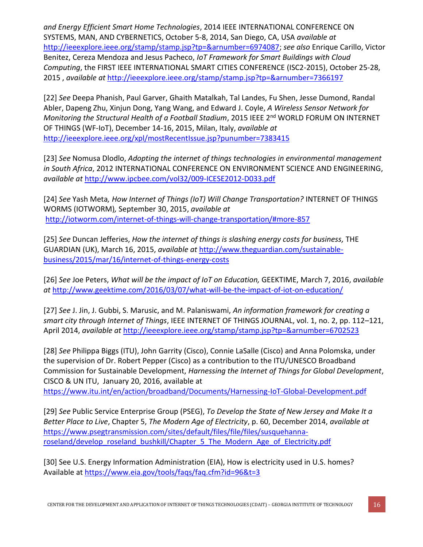*and Energy Efficient Smart Home Technologies*, 2014 IEEE INTERNATIONAL CONFERENCE ON SYSTEMS, MAN, AND CYBERNETICS, October 5-8, 2014, San Diego, CA, USA *available at*  [http://ieeexplore.ieee.org/stamp/stamp.jsp?tp=&arnumber=6974087;](http://ieeexplore.ieee.org/stamp/stamp.jsp?tp=&arnumber=6974087) *see also* Enrique Carillo, Victor Benitez, Cereza Mendoza and Jesus Pacheco, *IoT Framework for Smart Buildings with Cloud Computing*, the FIRST IEEE INTERNATIONAL SMART CITIES CONFERENCE (ISC2-2015), October 25-28, 2015 , *available at* <http://ieeexplore.ieee.org/stamp/stamp.jsp?tp=&arnumber=7366197>

[22] *See* Deepa Phanish, Paul Garver, Ghaith Matalkah, Tal Landes, Fu Shen, Jesse Dumond, Randal Abler, Dapeng Zhu, Xinjun Dong, Yang Wang, and Edward J. Coyle, *A Wireless Sensor Network for Monitoring the Structural Health of a Football Stadium, 2015 IEEE 2<sup>nd</sup> WORLD FORUM ON INTERNET* OF THINGS (WF-IoT), December 14-16, 2015, Milan, Italy, *available at*  <http://ieeexplore.ieee.org/xpl/mostRecentIssue.jsp?punumber=7383415>

[23] *See* Nomusa Dlodlo, *Adopting the internet of things technologies in environmental management in South Africa*, 2012 INTERNATIONAL CONFERENCE ON ENVIRONMENT SCIENCE AND ENGINEERING, *available at* <http://www.ipcbee.com/vol32/009-ICESE2012-D033.pdf>

[24] *See* Yash Meta*, How Internet of Things (IoT) Will Change Transportation?* INTERNET OF THINGS WORMS (IOTWORM)*,* September 30, 2015, *available at* <http://iotworm.com/internet-of-things-will-change-transportation/#more-857>

[25] *See* Duncan Jefferies, *How the internet of things is slashing energy costs for business,* THE GUARDIAN (UK), March 16, 2015, *available at* [http://www.theguardian.com/sustainable](http://www.theguardian.com/sustainable-business/2015/mar/16/internet-of-things-energy-costs)[business/2015/mar/16/internet-of-things-energy-costs](http://www.theguardian.com/sustainable-business/2015/mar/16/internet-of-things-energy-costs)

[26] *See* Joe Peters, *What will be the impact of IoT on Education,* GEEKTIME, March 7, 2016, *available at* <http://www.geektime.com/2016/03/07/what-will-be-the-impact-of-iot-on-education/>

[27] *See* J. Jin, J. Gubbi, S. Marusic, and M. Palaniswami, *An information framework for creating a smart city through Internet of Things*, IEEE INTERNET OF THINGS JOURNAL, vol. 1, no. 2, pp. 112–121, April 2014, *available at* <http://ieeexplore.ieee.org/stamp/stamp.jsp?tp=&arnumber=6702523>

[28] *See* Philippa Biggs (ITU), John Garrity (Cisco), Connie LaSalle (Cisco) and Anna Polomska, under the supervision of Dr. Robert Pepper (Cisco) as a contribution to the ITU/UNESCO Broadband Commission for Sustainable Development, *Harnessing the Internet of Things for Global Development*, CISCO & UN ITU, January 20, 2016, available at

<https://www.itu.int/en/action/broadband/Documents/Harnessing-IoT-Global-Development.pdf>

[29] *See* Public Service Enterprise Group (PSEG), *To Develop the State of New Jersey and Make It a Better Place to Live*, Chapter 5, *The Modern Age of Electricity*, p. 60, December 2014, *available at*  [https://www.psegtransmission.com/sites/default/files/file/files/susquehanna](https://www.psegtransmission.com/sites/default/files/file/files/susquehanna-roseland/develop_roseland_bushkill/Chapter_5_The_Modern_Age_of_Electricity.pdf)[roseland/develop\\_roseland\\_bushkill/Chapter\\_5\\_The\\_Modern\\_Age\\_of\\_Electricity.pdf](https://www.psegtransmission.com/sites/default/files/file/files/susquehanna-roseland/develop_roseland_bushkill/Chapter_5_The_Modern_Age_of_Electricity.pdf)

[30] See U.S. Energy Information Administration (EIA), How is electricity used in U.S. homes? Available at<https://www.eia.gov/tools/faqs/faq.cfm?id=96&t=3>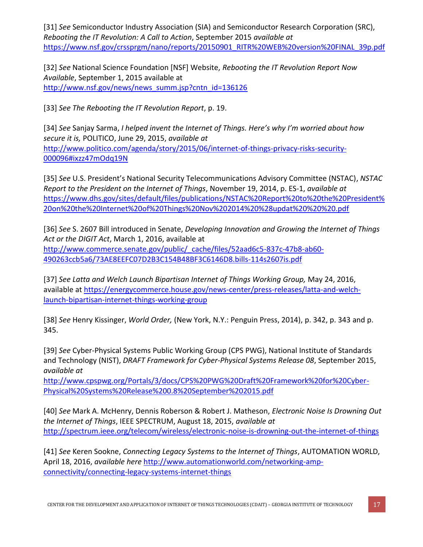[31] *See* Semiconductor Industry Association (SIA) and Semiconductor Research Corporation (SRC), *Rebooting the IT Revolution: A Call to Action*, September 2015 *available at*  [https://www.nsf.gov/crssprgm/nano/reports/20150901\\_RITR%20WEB%20version%20FINAL\\_39p.pdf](https://www.nsf.gov/crssprgm/nano/reports/20150901_RITR%20WEB%20version%20FINAL_39p.pdf)

[32] *See* National Science Foundation [NSF] Website, *Rebooting the IT Revolution Report Now Available*, September 1, 2015 available at [http://www.nsf.gov/news/news\\_summ.jsp?cntn\\_id=136126](http://www.nsf.gov/news/news_summ.jsp?cntn_id=136126)

[33] *See The Rebooting the IT Revolution Report*, p. 19.

[34] *See* Sanjay Sarma, *I helped invent the Internet of Things. Here's why I'm worried about how secure it is,* POLITICO, June 29, 2015, *available at*  [http://www.politico.com/agenda/story/2015/06/internet-of-things-privacy-risks-security-](http://www.politico.com/agenda/story/2015/06/internet-of-things-privacy-risks-security-000096#ixzz47mOdq19N)[000096#ixzz47mOdq19N](http://www.politico.com/agenda/story/2015/06/internet-of-things-privacy-risks-security-000096#ixzz47mOdq19N)

[35] *See* U.S. President's National Security Telecommunications Advisory Committee (NSTAC), *NSTAC Report to the President on the Internet of Things*, November 19, 2014, p. ES-1, *available at*  [https://www.dhs.gov/sites/default/files/publications/NSTAC%20Report%20to%20the%20President%](https://www.dhs.gov/sites/default/files/publications/NSTAC%20Report%20to%20the%20President%20on%20the%20Internet%20of%20Things%20Nov%202014%20%28updat%20%20%20.pdf) [20on%20the%20Internet%20of%20Things%20Nov%202014%20%28updat%20%20%20.pdf](https://www.dhs.gov/sites/default/files/publications/NSTAC%20Report%20to%20the%20President%20on%20the%20Internet%20of%20Things%20Nov%202014%20%28updat%20%20%20.pdf)

[36] *See* S. 2607 Bill introduced in Senate, *Developing Innovation and Growing the Internet of Things Act or the DIGIT Act*, March 1, 2016, available at [http://www.commerce.senate.gov/public/\\_cache/files/52aad6c5-837c-47b8-ab60-](http://www.commerce.senate.gov/public/_cache/files/52aad6c5-837c-47b8-ab60-490263ccb5a6/73AE8EEFC07D2B3C154B48BF3C6146D8.bills-114s2607is.pdf) [490263ccb5a6/73AE8EEFC07D2B3C154B48BF3C6146D8.bills-114s2607is.pdf](http://www.commerce.senate.gov/public/_cache/files/52aad6c5-837c-47b8-ab60-490263ccb5a6/73AE8EEFC07D2B3C154B48BF3C6146D8.bills-114s2607is.pdf)

[37] *See Latta and Welch Launch Bipartisan Internet of Things Working Group,* May 24, 2016, available at [https://energycommerce.house.gov/news-center/press-releases/latta-and-welch](https://energycommerce.house.gov/news-center/press-releases/latta-and-welch-launch-bipartisan-internet-things-working-group)[launch-bipartisan-internet-things-working-group](https://energycommerce.house.gov/news-center/press-releases/latta-and-welch-launch-bipartisan-internet-things-working-group)

[38] *See* Henry Kissinger, *World Order,* (New York, N.Y.: Penguin Press, 2014), p. 342, p. 343 and p. 345.

[39] *See* Cyber-Physical Systems Public Working Group (CPS PWG), National Institute of Standards and Technology (NIST), *DRAFT Framework for Cyber-Physical Systems Release 08*, September 2015, *available at* 

[http://www.cpspwg.org/Portals/3/docs/CPS%20PWG%20Draft%20Framework%20for%20Cyber-](http://www.cpspwg.org/Portals/3/docs/CPS%20PWG%20Draft%20Framework%20for%20Cyber-Physical%20Systems%20Release%200.8%20September%202015.pdf)[Physical%20Systems%20Release%200.8%20September%202015.pdf](http://www.cpspwg.org/Portals/3/docs/CPS%20PWG%20Draft%20Framework%20for%20Cyber-Physical%20Systems%20Release%200.8%20September%202015.pdf)

[40] *See* Mark A. McHenry, Dennis Roberson & Robert J. Matheson, *Electronic Noise Is Drowning Out the Internet of Things*, IEEE SPECTRUM, August 18, 2015, *available at*  <http://spectrum.ieee.org/telecom/wireless/electronic-noise-is-drowning-out-the-internet-of-things>

[41] *See* Keren Sookne, *Connecting Legacy Systems to the Internet of Things*, AUTOMATION WORLD, April 18, 2016, *available here* [http://www.automationworld.com/networking-amp](http://www.automationworld.com/networking-amp-connectivity/connecting-legacy-systems-internet-things)[connectivity/connecting-legacy-systems-internet-things](http://www.automationworld.com/networking-amp-connectivity/connecting-legacy-systems-internet-things)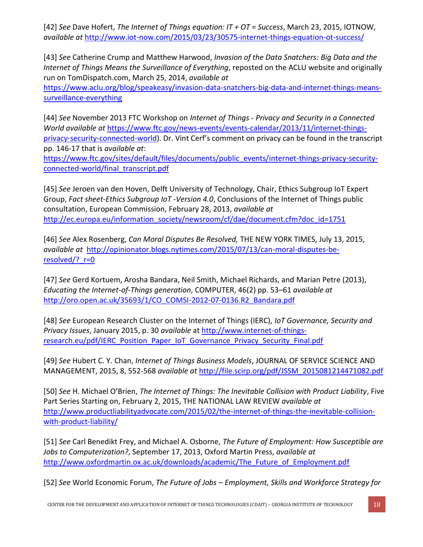[42] *See* Dave Hofert, *The Internet of Things equation: IT + OT = Success*, March 23, 2015, IOTNOW, *available at* <http://www.iot-now.com/2015/03/23/30575-internet-things-equation-ot-success/>

[43] *See* Catherine Crump and Matthew Harwood, *Invasion of the Data Snatchers: Big Data and the Internet of Things Means the Surveillance of Everything*, reposted on the ACLU website and originally run on TomDispatch.com, March 25, 2014, *available at* 

[https://www.aclu.org/blog/speakeasy/invasion-data-snatchers-big-data-and-internet-things-means](https://www.aclu.org/blog/speakeasy/invasion-data-snatchers-big-data-and-internet-things-means-surveillance-everything)[surveillance-everything](https://www.aclu.org/blog/speakeasy/invasion-data-snatchers-big-data-and-internet-things-means-surveillance-everything)

[44] *See* November 2013 FTC Workshop on *Internet of Things - Privacy and Security in a Connected World available at* [https://www.ftc.gov/news-events/events-calendar/2013/11/internet-things](https://www.ftc.gov/news-events/events-calendar/2013/11/internet-things-privacy-security-connected-world)[privacy-security-connected-world\)](https://www.ftc.gov/news-events/events-calendar/2013/11/internet-things-privacy-security-connected-world). Dr. Vint Cerf's comment on privacy can be found in the transcript pp. 146-17 that is *available at*:

[https://www.ftc.gov/sites/default/files/documents/public\\_events/internet-things-privacy-security](https://www.ftc.gov/sites/default/files/documents/public_events/internet-things-privacy-security-connected-world/final_transcript.pdf)[connected-world/final\\_transcript.pdf](https://www.ftc.gov/sites/default/files/documents/public_events/internet-things-privacy-security-connected-world/final_transcript.pdf)

[45] *See* Jeroen van den Hoven, Delft University of Technology, Chair, Ethics Subgroup IoT Expert Group, *Fact sheet-Ethics Subgroup IoT -Version 4.0*, Conclusions of the Internet of Things public consultation, European Commission, February 28, 2013, *available at*  [http://ec.europa.eu/information\\_society/newsroom/cf/dae/document.cfm?doc\\_id=1751](http://ec.europa.eu/information_society/newsroom/cf/dae/document.cfm?doc_id=1751)

[46] *See* Alex Rosenberg, *Can Moral Disputes Be Resolved,* THE NEW YORK TIMES, July 13, 2015, *available at* [http://opinionator.blogs.nytimes.com/2015/07/13/can-moral-disputes-be](http://opinionator.blogs.nytimes.com/2015/07/13/can-moral-disputes-be-resolved/?_r=0)resolved/? r=0

[47] *See* Gerd Kortuem, Arosha Bandara, Neil Smith, Michael Richards, and Marian Petre (2013), *Educating the Internet-of-Things generation*, COMPUTER, 46(2) pp. 53–61 *available at*  [http://oro.open.ac.uk/35693/1/CO\\_COMSI-2012-07-0136.R2\\_Bandara.pdf](http://oro.open.ac.uk/35693/1/CO_COMSI-2012-07-0136.R2_Bandara.pdf)

[48] *See* European Research Cluster on the Internet of Things (IERC), *IoT Governance, Security and Privacy Issues*, January 2015, p. 30 *available* a[t http://www.internet-of-things](http://www.internet-of-things-research.eu/pdf/IERC_Position_Paper_IoT_Governance_Privacy_Security_Final.pdf)[research.eu/pdf/IERC\\_Position\\_Paper\\_IoT\\_Governance\\_Privacy\\_Security\\_Final.pdf](http://www.internet-of-things-research.eu/pdf/IERC_Position_Paper_IoT_Governance_Privacy_Security_Final.pdf)

[49] *See* Hubert C. Y. Chan, *Internet of Things Business Models*, JOURNAL OF SERVICE SCIENCE AND MANAGEMENT, 2015, 8, 552-568 *available at* [http://file.scirp.org/pdf/JSSM\\_2015081214471082.pdf](http://file.scirp.org/pdf/JSSM_2015081214471082.pdf)

[50] *See* H. Michael O'Brien, *The Internet of Things: The Inevitable Collision with Product Liability*, Five Part Series Starting on, February 2, 2015, THE NATIONAL LAW REVIEW *available at* [http://www.productliabilityadvocate.com/2015/02/the-internet-of-things-the-inevitable-collision](http://www.productliabilityadvocate.com/2015/02/the-internet-of-things-the-inevitable-collision-with-product-liability/)[with-product-liability/](http://www.productliabilityadvocate.com/2015/02/the-internet-of-things-the-inevitable-collision-with-product-liability/)

[51] *See* Carl Benedikt Frey, and Michael A. Osborne, *The Future of Employment: How Susceptible are Jobs to Computerization?*, September 17, 2013, Oxford Martin Press, *available at*  [http://www.oxfordmartin.ox.ac.uk/downloads/academic/The\\_Future\\_of\\_Employment.pdf](http://www.oxfordmartin.ox.ac.uk/downloads/academic/The_Future_of_Employment.pdf)

[52] *See* World Economic Forum, *The Future of Jobs – Employment, Skills and Workforce Strategy for*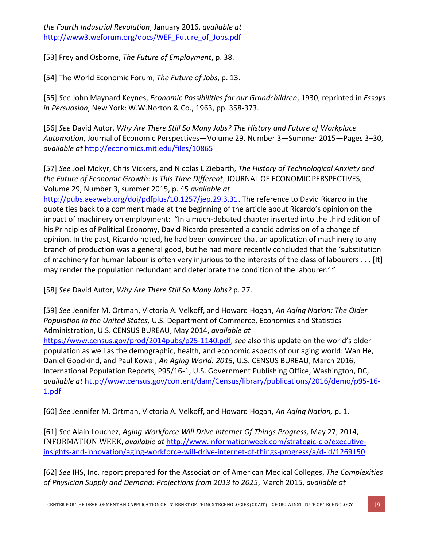*the Fourth Industrial Revolution*, January 2016, *available at* [http://www3.weforum.org/docs/WEF\\_Future\\_of\\_Jobs.pdf](http://www3.weforum.org/docs/WEF_Future_of_Jobs.pdf)

[53] Frey and Osborne, *The Future of Employment*, p. 38.

[54] The World Economic Forum, *The Future of Jobs*, p. 13.

[55] *See* John Maynard Keynes, *Economic Possibilities for our Grandchildren*, 1930, reprinted in *Essays in Persuasion*, New York: W.W.Norton & Co., 1963, pp. 358-373.

[56] *See* David Autor, *Why Are There Still So Many Jobs? The History and Future of Workplace Automation*, Journal of Economic Perspectives—Volume 29, Number 3—Summer 2015—Pages 3–30, *available at* <http://economics.mit.edu/files/10865>

[57] *See* Joel Mokyr, Chris Vickers, and Nicolas L Ziebarth, *The History of Technological Anxiety and the Future of Economic Growth: Is This Time Different*, JOURNAL OF ECONOMIC PERSPECTIVES, Volume 29, Number 3, summer 2015, p. 45 *available at* 

[http://pubs.aeaweb.org/doi/pdfplus/10.1257/jep.29.3.31.](http://pubs.aeaweb.org/doi/pdfplus/10.1257/jep.29.3.31) The reference to David Ricardo in the quote ties back to a comment made at the beginning of the article about Ricardo's opinion on the impact of machinery on employment: "In a much-debated chapter inserted into the third edition of his Principles of Political Economy, David Ricardo presented a candid admission of a change of opinion. In the past, Ricardo noted, he had been convinced that an application of machinery to any branch of production was a general good, but he had more recently concluded that the 'substitution of machinery for human labour is often very injurious to the interests of the class of labourers . . . [It] may render the population redundant and deteriorate the condition of the labourer.' "

[58] *See* David Autor, *Why Are There Still So Many Jobs?* p. 27.

[59] *See* Jennifer M. Ortman, Victoria A. Velkoff, and Howard Hogan, *An Aging Nation: The Older Population in the United States,* U.S. Department of Commerce, Economics and Statistics Administration, U.S. CENSUS BUREAU, May 2014, *available at*  [https://www.census.gov/prod/2014pubs/p25-1140.pdf;](https://www.census.gov/prod/2014pubs/p25-1140.pdf) *see* also this update on the world's older population as well as the demographic, health, and economic aspects of our aging world: Wan He, Daniel Goodkind, and Paul Kowal, *An Aging World: 2015*, U.S. CENSUS BUREAU, March 2016, International Population Reports, P95/16-1, U.S. Government Publishing Office, Washington, DC, *available at* [http://www.census.gov/content/dam/Census/library/publications/2016/demo/p95-16-](http://www.census.gov/content/dam/Census/library/publications/2016/demo/p95-16-1.pdf) [1.pdf](http://www.census.gov/content/dam/Census/library/publications/2016/demo/p95-16-1.pdf)

[60] *See* Jennifer M. Ortman, Victoria A. Velkoff, and Howard Hogan, *An Aging Nation,* p. 1.

[61] *See* Alain Louchez, *Aging Workforce Will Drive Internet Of Things Progress,* May 27, 2014, INFORMATION WEEK, *available at* [http://www.informationweek.com/strategic-cio/executive](http://www.informationweek.com/strategic-cio/executive-insights-and-innovation/aging-workforce-will-drive-internet-of-things-progress/a/d-id/1269150)[insights-and-innovation/aging-workforce-will-drive-internet-of-things-progress/a/d-id/1269150](http://www.informationweek.com/strategic-cio/executive-insights-and-innovation/aging-workforce-will-drive-internet-of-things-progress/a/d-id/1269150)

[62] *See* IHS, Inc. report prepared for the Association of American Medical Colleges, *The Complexities of Physician Supply and Demand: Projections from 2013 to 2025*, March 2015, *available at*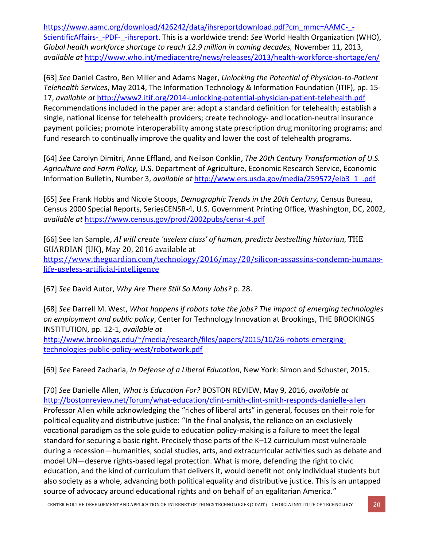[https://www.aamc.org/download/426242/data/ihsreportdownload.pdf?cm\\_mmc=AAMC-\\_-](https://www.aamc.org/download/426242/data/ihsreportdownload.pdf?cm_mmc=AAMC-_-ScientificAffairs-_-PDF-_-ihsreport) [ScientificAffairs-\\_-PDF-\\_-ihsreport.](https://www.aamc.org/download/426242/data/ihsreportdownload.pdf?cm_mmc=AAMC-_-ScientificAffairs-_-PDF-_-ihsreport) This is a worldwide trend: See World Health Organization (WHO), *Global health workforce shortage to reach 12.9 million in coming decades,* November 11, 2013, *available at* <http://www.who.int/mediacentre/news/releases/2013/health-workforce-shortage/en/>

[63] *See* Daniel Castro, Ben Miller and Adams Nager, *Unlocking the Potential of Physician-to-Patient Telehealth Services*, May 2014, The Information Technology & Information Foundation (ITIF), pp. 15- 17, *available at* <http://www2.itif.org/2014-unlocking-potential-physician-patient-telehealth.pdf> Recommendations included in the paper are: adopt a standard definition for telehealth; establish a single, national license for telehealth providers; create technology- and location-neutral insurance payment policies; promote interoperability among state prescription drug monitoring programs; and fund research to continually improve the quality and lower the cost of telehealth programs.

[64] *See* Carolyn Dimitri, Anne Effland, and Neilson Conklin, *The 20th Century Transformation of U.S. Agriculture and Farm Policy,* U.S. Department of Agriculture, Economic Research Service, Economic Information Bulletin, Number 3, *available at* [http://www.ers.usda.gov/media/259572/eib3\\_1\\_.pdf](http://www.ers.usda.gov/media/259572/eib3_1_.pdf)

[65] *See* Frank Hobbs and Nicole Stoops, *Demographic Trends in the 20th Century,* Census Bureau, Census 2000 Special Reports, SeriesCENSR-4, U.S. Government Printing Office, Washington, DC, 2002, *available at* <https://www.census.gov/prod/2002pubs/censr-4.pdf>

[66] See Ian Sample, *AI will create 'useless class' of human, predicts bestselling historian*, THE GUARDIAN (UK), May 20, 2016 available at [https://www.theguardian.com/technology/2016/may/20/silicon-assassins-condemn-humans](https://www.theguardian.com/technology/2016/may/20/silicon-assassins-condemn-humans-life-useless-artificial-intelligence)[life-useless-artificial-intelligence](https://www.theguardian.com/technology/2016/may/20/silicon-assassins-condemn-humans-life-useless-artificial-intelligence)

[67] *See* David Autor, *Why Are There Still So Many Jobs?* p. 28.

[68] *See* Darrell M. West, *What happens if robots take the jobs? The impact of emerging technologies on employment and public policy*, Center for Technology Innovation at Brookings, THE BROOKINGS INSTITUTION, pp. 12-1, *available at*

[http://www.brookings.edu/~/media/research/files/papers/2015/10/26-robots-emerging](http://www.brookings.edu/~/media/research/files/papers/2015/10/26-robots-emerging-technologies-public-policy-west/robotwork.pdf)[technologies-public-policy-west/robotwork.pdf](http://www.brookings.edu/~/media/research/files/papers/2015/10/26-robots-emerging-technologies-public-policy-west/robotwork.pdf)

[69] *See* Fareed Zacharia, *In Defense of a Liberal Education*, New York: Simon and Schuster, 2015.

[70] *See* Danielle Allen, *What is Education For?* BOSTON REVIEW, May 9, 2016, *available at* <http://bostonreview.net/forum/what-education/clint-smith-clint-smith-responds-danielle-allen> Professor Allen while acknowledging the "riches of liberal arts" in general, focuses on their role for political equality and distributive justice: "In the final analysis, the reliance on an exclusively vocational paradigm as the sole guide to education policy-making is a failure to meet the legal standard for securing a basic right. Precisely those parts of the K–12 curriculum most vulnerable during a recession—humanities, social studies, arts, and extracurricular activities such as debate and model UN—deserve rights-based legal protection. What is more, defending the right to civic education, and the kind of curriculum that delivers it, would benefit not only individual students but also society as a whole, advancing both political equality and distributive justice. This is an untapped source of advocacy around educational rights and on behalf of an egalitarian America."